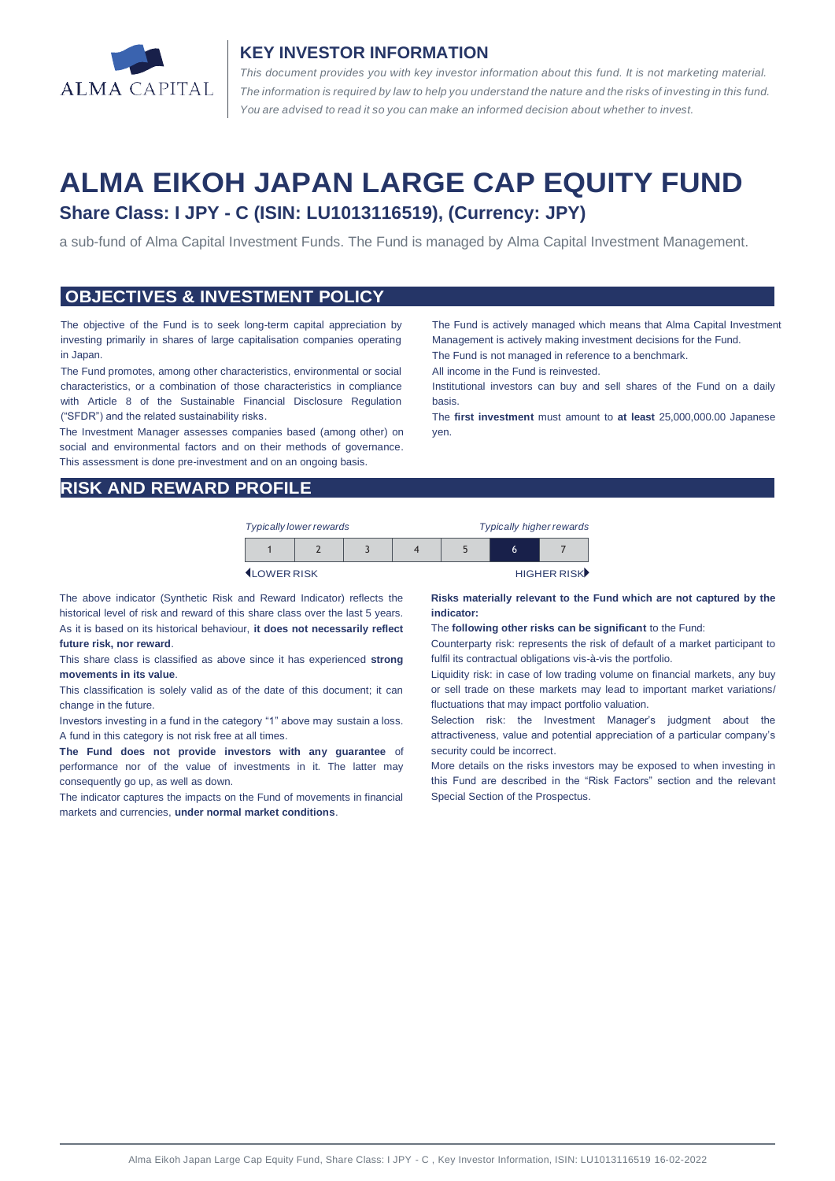

### **KEY INVESTOR INFORMATION**

*This document provides you with key investor information about this fund. It is not marketing material.*  The information is required by law to help you understand the nature and the risks of investing in this fund. *You are advised to read it so you can make an informed decision about whether to invest.*

# **ALMA EIKOH JAPAN LARGE CAP EQUITY FUND Share Class: I JPY - C (ISIN: LU1013116519), (Currency: JPY)**

a sub-fund of Alma Capital Investment Funds. The Fund is managed by Alma Capital Investment Management.

#### **OBJECTIVES & INVESTMENT POLICY**

The objective of the Fund is to seek long-term capital appreciation by investing primarily in shares of large capitalisation companies operating in Japan.

The Fund promotes, among other characteristics, environmental or social characteristics, or a combination of those characteristics in compliance with Article 8 of the Sustainable Financial Disclosure Regulation ("SFDR") and the related sustainability risks.

The Investment Manager assesses companies based (among other) on social and environmental factors and on their methods of governance. This assessment is done pre-investment and on an ongoing basis.

Management is actively making investment decisions for the Fund. The Fund is not managed in reference to a benchmark. All income in the Fund is reinvested.

The Fund is actively managed which means that Alma Capital Investment

Institutional investors can buy and sell shares of the Fund on a daily basis.

The **first investment** must amount to **at least** 25,000,000.00 Japanese yen.

### **RISK AND REWARD PROFILE**

| <b>Typically lower rewards</b> |  | <b>Typically higher rewards</b> |  |   |             |
|--------------------------------|--|---------------------------------|--|---|-------------|
|                                |  |                                 |  | h |             |
| <b>ILOWER RISK</b>             |  |                                 |  |   | HIGHER RISK |

The above indicator (Synthetic Risk and Reward Indicator) reflects the historical level of risk and reward of this share class over the last 5 years. As it is based on its historical behaviour, **it does not necessarily reflect future risk, nor reward**.

This share class is classified as above since it has experienced **strong movements in its value**.

This classification is solely valid as of the date of this document; it can change in the future.

Investors investing in a fund in the category "1" above may sustain a loss. A fund in this category is not risk free at all times.

**The Fund does not provide investors with any guarantee** of performance nor of the value of investments in it. The latter may consequently go up, as well as down.

The indicator captures the impacts on the Fund of movements in financial markets and currencies, **under normal market conditions**.

**Risks materially relevant to the Fund which are not captured by the indicator:**

The **following other risks can be significant** to the Fund:

Counterparty risk: represents the risk of default of a market participant to fulfil its contractual obligations vis-à-vis the portfolio.

Liquidity risk: in case of low trading volume on financial markets, any buy or sell trade on these markets may lead to important market variations/ fluctuations that may impact portfolio valuation.

Selection risk: the Investment Manager's judgment about the attractiveness, value and potential appreciation of a particular company's security could be incorrect.

More details on the risks investors may be exposed to when investing in this Fund are described in the "Risk Factors" section and the relevant Special Section of the Prospectus.